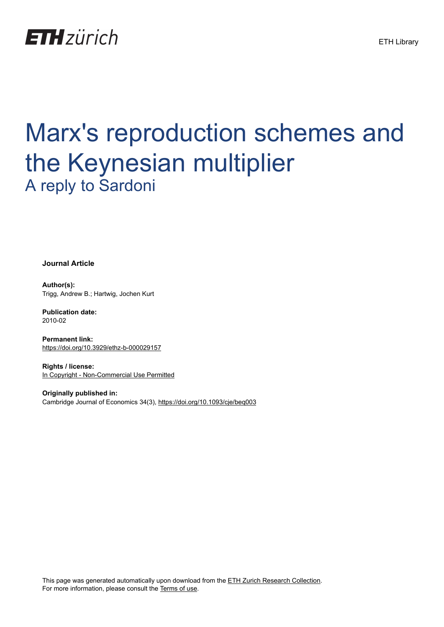

# Marx's reproduction schemes and the Keynesian multiplier A reply to Sardoni

**Journal Article**

**Author(s):** Trigg, Andrew B.; Hartwig, Jochen Kurt

**Publication date:** 2010-02

**Permanent link:** <https://doi.org/10.3929/ethz-b-000029157>

**Rights / license:** [In Copyright - Non-Commercial Use Permitted](http://rightsstatements.org/page/InC-NC/1.0/)

**Originally published in:** Cambridge Journal of Economics 34(3),<https://doi.org/10.1093/cje/beq003>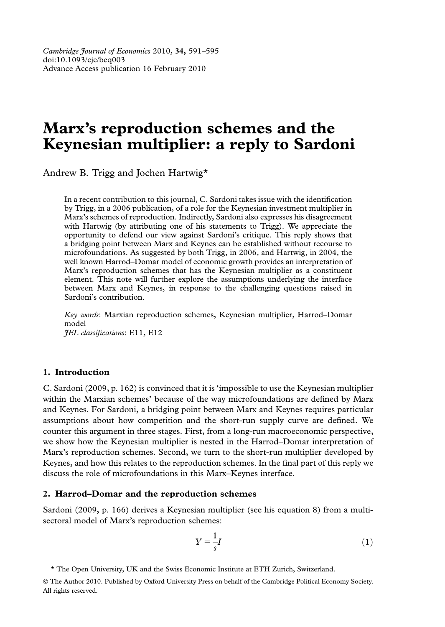# Marx's reproduction schemes and the Keynesian multiplier: a reply to Sardoni

Andrew B. Trigg and Jochen Hartwig\*

In a recent contribution to this journal, C. Sardoni takes issue with the identification by Trigg, in a 2006 publication, of a role for the Keynesian investment multiplier in Marx's schemes of reproduction. Indirectly, Sardoni also expresses his disagreement with Hartwig (by attributing one of his statements to Trigg). We appreciate the opportunity to defend our view against Sardoni's critique. This reply shows that a bridging point between Marx and Keynes can be established without recourse to microfoundations. As suggested by both Trigg, in 2006, and Hartwig, in 2004, the well known Harrod–Domar model of economic growth provides an interpretation of Marx's reproduction schemes that has the Keynesian multiplier as a constituent element. This note will further explore the assumptions underlying the interface between Marx and Keynes, in response to the challenging questions raised in Sardoni's contribution.

Key words: Marxian reproduction schemes, Keynesian multiplier, Harrod–Domar model JEL classifications: E11, E12

# 1. Introduction

C. Sardoni (2009, p. 162) is convinced that it is 'impossible to use the Keynesian multiplier within the Marxian schemes' because of the way microfoundations are defined by Marx and Keynes. For Sardoni, a bridging point between Marx and Keynes requires particular assumptions about how competition and the short-run supply curve are defined. We counter this argument in three stages. First, from a long-run macroeconomic perspective, we show how the Keynesian multiplier is nested in the Harrod–Domar interpretation of Marx's reproduction schemes. Second, we turn to the short-run multiplier developed by Keynes, and how this relates to the reproduction schemes. In the final part of this reply we discuss the role of microfoundations in this Marx–Keynes interface.

# 2. Harrod–Domar and the reproduction schemes

Sardoni (2009, p. 166) derives a Keynesian multiplier (see his equation 8) from a multisectoral model of Marx's reproduction schemes:

$$
Y = \frac{1}{s}I\tag{1}
$$

\* The Open University, UK and the Swiss Economic Institute at ETH Zurich, Switzerland.

 The Author 2010. Published by Oxford University Press on behalf of the Cambridge Political Economy Society. All rights reserved.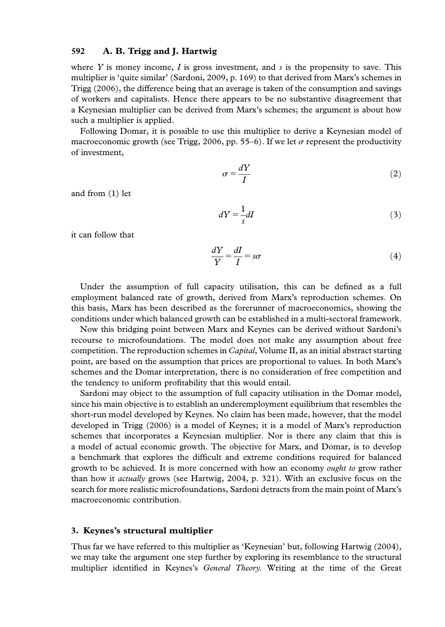# 592 A. B. Trigg and J. Hartwig

where Y is money income, I is gross investment, and s is the propensity to save. This multiplier is 'quite similar' (Sardoni, 2009, p. 169) to that derived from Marx's schemes in Trigg (2006), the difference being that an average is taken of the consumption and savings of workers and capitalists. Hence there appears to be no substantive disagreement that a Keynesian multiplier can be derived from Marx's schemes; the argument is about how such a multiplier is applied.

Following Domar, it is possible to use this multiplier to derive a Keynesian model of macroeconomic growth (see Trigg, 2006, pp. 55–6). If we let  $\sigma$  represent the productivity of investment,

$$
\sigma = \frac{dY}{I} \tag{2}
$$

and from (1) let

$$
dY = \frac{1}{s}dI
$$
 (3)

it can follow that

$$
\frac{dY}{Y} = \frac{dI}{I} = s\sigma\tag{4}
$$

Under the assumption of full capacity utilisation, this can be defined as a full employment balanced rate of growth, derived from Marx's reproduction schemes. On this basis, Marx has been described as the forerunner of macroeconomics, showing the conditions under which balanced growth can be established in a multi-sectoral framework.

Now this bridging point between Marx and Keynes can be derived without Sardoni's recourse to microfoundations. The model does not make any assumption about free competition. The reproduction schemes in *Capital*, Volume II, as an initial abstract starting point, are based on the assumption that prices are proportional to values. In both Marx's schemes and the Domar interpretation, there is no consideration of free competition and the tendency to uniform profitability that this would entail.

Sardoni may object to the assumption of full capacity utilisation in the Domar model, since his main objective is to establish an underemployment equilibrium that resembles the short-run model developed by Keynes. No claim has been made, however, that the model developed in Trigg (2006) is a model of Keynes; it is a model of Marx's reproduction schemes that incorporates a Keynesian multiplier. Nor is there any claim that this is a model of actual economic growth. The objective for Marx, and Domar, is to develop a benchmark that explores the difficult and extreme conditions required for balanced growth to be achieved. It is more concerned with how an economy *ought to* grow rather than how it actually grows (see Hartwig, 2004, p. 321). With an exclusive focus on the search for more realistic microfoundations, Sardoni detracts from the main point of Marx's macroeconomic contribution.

#### 3. Keynes's structural multiplier

Thus far we have referred to this multiplier as 'Keynesian' but, following Hartwig (2004), we may take the argument one step further by exploring its resemblance to the structural multiplier identified in Keynes's General Theory. Writing at the time of the Great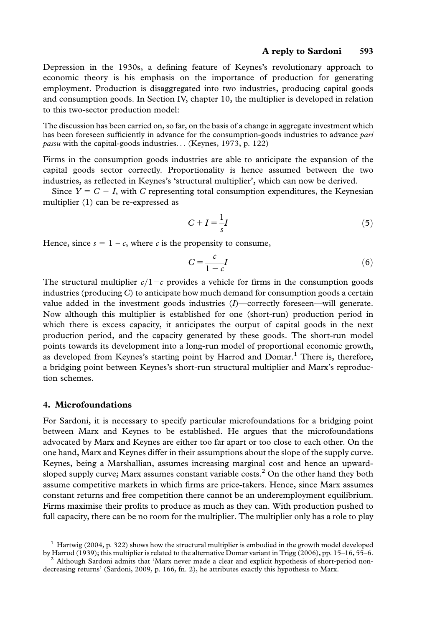#### A reply to Sardoni 593

Depression in the 1930s, a defining feature of Keynes's revolutionary approach to economic theory is his emphasis on the importance of production for generating employment. Production is disaggregated into two industries, producing capital goods and consumption goods. In Section IV, chapter 10, the multiplier is developed in relation to this two-sector production model:

The discussion has been carried on, so far, on the basis of a change in aggregate investment which has been foreseen sufficiently in advance for the consumption-goods industries to advance pari passu with the capital-goods industries... (Keynes, 1973, p. 122)

Firms in the consumption goods industries are able to anticipate the expansion of the capital goods sector correctly. Proportionality is hence assumed between the two industries, as reflected in Keynes's 'structural multiplier', which can now be derived.

Since  $Y = C + I$ , with C representing total consumption expenditures, the Keynesian multiplier (1) can be re-expressed as

$$
C + I = \frac{1}{s}I
$$
 (5)

Hence, since  $s = 1 - c$ , where c is the propensity to consume,

$$
C = \frac{c}{1 - c}I\tag{6}
$$

The structural multiplier  $c/1-c$  provides a vehicle for firms in the consumption goods industries (producing  $C$ ) to anticipate how much demand for consumption goods a certain value added in the investment goods industries (I)—correctly foreseen—will generate. Now although this multiplier is established for one (short-run) production period in which there is excess capacity, it anticipates the output of capital goods in the next production period, and the capacity generated by these goods. The short-run model points towards its development into a long-run model of proportional economic growth, as developed from Keynes's starting point by Harrod and Domar.<sup>1</sup> There is, therefore, a bridging point between Keynes's short-run structural multiplier and Marx's reproduction schemes.

# 4. Microfoundations

For Sardoni, it is necessary to specify particular microfoundations for a bridging point between Marx and Keynes to be established. He argues that the microfoundations advocated by Marx and Keynes are either too far apart or too close to each other. On the one hand, Marx and Keynes differ in their assumptions about the slope of the supply curve. Keynes, being a Marshallian, assumes increasing marginal cost and hence an upwardsloped supply curve; Marx assumes constant variable costs.<sup>2</sup> On the other hand they both assume competitive markets in which firms are price-takers. Hence, since Marx assumes constant returns and free competition there cannot be an underemployment equilibrium. Firms maximise their profits to produce as much as they can. With production pushed to full capacity, there can be no room for the multiplier. The multiplier only has a role to play

<sup>&</sup>lt;sup>1</sup> Hartwig (2004, p. 322) shows how the structural multiplier is embodied in the growth model developed by Harrod (1939); this multiplier is related to the alternative Domar variant in Trigg (2006), pp. 15–16, 55–6. <sup>2</sup> Although Sardoni admits that 'Marx never made a clear and explicit hypothesis of short-period nondecreasing returns' (Sardoni, 2009, p. 166, fn. 2), he attributes exactly this hypothesis to Marx.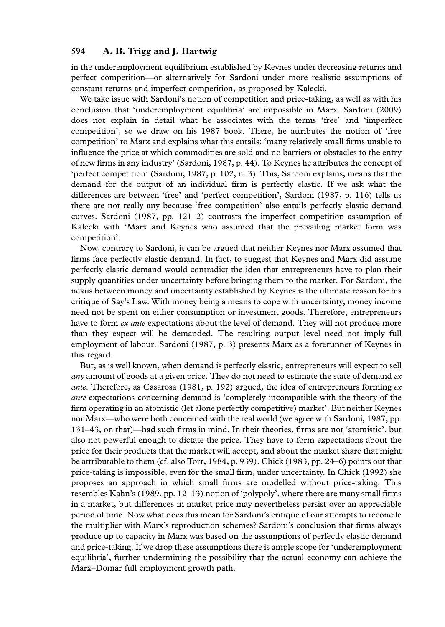# 594 A. B. Trigg and J. Hartwig

in the underemployment equilibrium established by Keynes under decreasing returns and perfect competition—or alternatively for Sardoni under more realistic assumptions of constant returns and imperfect competition, as proposed by Kalecki.

We take issue with Sardoni's notion of competition and price-taking, as well as with his conclusion that 'underemployment equilibria' are impossible in Marx. Sardoni (2009) does not explain in detail what he associates with the terms 'free' and 'imperfect competition', so we draw on his 1987 book. There, he attributes the notion of 'free competition' to Marx and explains what this entails: 'many relatively small firms unable to influence the price at which commodities are sold and no barriers or obstacles to the entry of new firms in any industry' (Sardoni, 1987, p. 44). To Keynes he attributes the concept of 'perfect competition' (Sardoni, 1987, p. 102, n. 3). This, Sardoni explains, means that the demand for the output of an individual firm is perfectly elastic. If we ask what the differences are between 'free' and 'perfect competition', Sardoni (1987, p. 116) tells us there are not really any because 'free competition' also entails perfectly elastic demand curves. Sardoni (1987, pp. 121–2) contrasts the imperfect competition assumption of Kalecki with 'Marx and Keynes who assumed that the prevailing market form was competition'.

Now, contrary to Sardoni, it can be argued that neither Keynes nor Marx assumed that firms face perfectly elastic demand. In fact, to suggest that Keynes and Marx did assume perfectly elastic demand would contradict the idea that entrepreneurs have to plan their supply quantities under uncertainty before bringing them to the market. For Sardoni, the nexus between money and uncertainty established by Keynes is the ultimate reason for his critique of Say's Law. With money being a means to cope with uncertainty, money income need not be spent on either consumption or investment goods. Therefore, entrepreneurs have to form *ex ante* expectations about the level of demand. They will not produce more than they expect will be demanded. The resulting output level need not imply full employment of labour. Sardoni (1987, p. 3) presents Marx as a forerunner of Keynes in this regard.

But, as is well known, when demand is perfectly elastic, entrepreneurs will expect to sell any amount of goods at a given price. They do not need to estimate the state of demand  $ex$ ante. Therefore, as Casarosa (1981, p. 192) argued, the idea of entrepreneurs forming  $ex$ *ante* expectations concerning demand is 'completely incompatible with the theory of the firm operating in an atomistic (let alone perfectly competitive) market'. But neither Keynes nor Marx—who were both concerned with the real world (we agree with Sardoni, 1987, pp. 131–43, on that)—had such firms in mind. In their theories, firms are not 'atomistic', but also not powerful enough to dictate the price. They have to form expectations about the price for their products that the market will accept, and about the market share that might be attributable to them (cf. also Torr, 1984, p. 939). Chick (1983, pp. 24–6) points out that price-taking is impossible, even for the small firm, under uncertainty. In Chick (1992) she proposes an approach in which small firms are modelled without price-taking. This resembles Kahn's (1989, pp. 12–13) notion of 'polypoly', where there are many small firms in a market, but differences in market price may nevertheless persist over an appreciable period of time. Now what does this mean for Sardoni's critique of our attempts to reconcile the multiplier with Marx's reproduction schemes? Sardoni's conclusion that firms always produce up to capacity in Marx was based on the assumptions of perfectly elastic demand and price-taking. If we drop these assumptions there is ample scope for 'underemployment equilibria', further undermining the possibility that the actual economy can achieve the Marx–Domar full employment growth path.